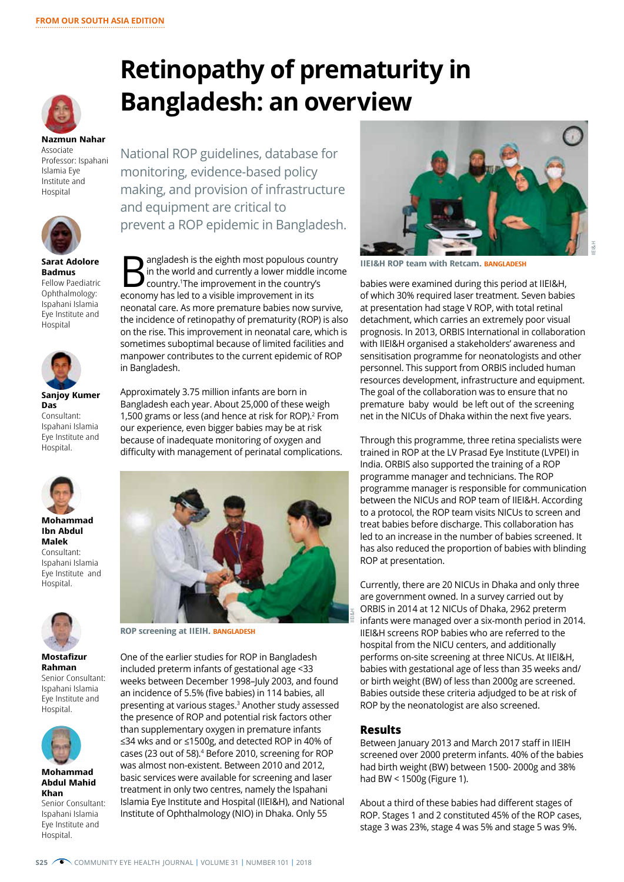

**Nazmun Nahar** Associate Professor: Ispahani Islamia Eye Institute and **Hospital** 



**Sarat Adolore Badmus** Fellow Paediatric Ophthalmology: Ispahani Islamia Eye Institute and Hospital



**Sanjoy Kumer Das** Consultant: Ispahani Islamia Eye Institute and Hospital.



**Mohammad Ibn Abdul Malek** Consultant: Ispahani Islamia Eye Institute and Hospital.



**Mostafizur Rahman** Senior Consultant: Ispahani Islamia Eye Institute and Hospital.



**Mohammad Abdul Mahid Khan**

Senior Consultant: Ispahani Islamia Eye Institute and Hospital.

**Retinopathy of prematurity in Bangladesh: an overview** 

National ROP guidelines, database for monitoring, evidence-based policy making, and provision of infrastructure and equipment are critical to prevent a ROP epidemic in Bangladesh.

**B**<br>angladesh is the eighth most populous country<br>in the world and currently a lower middle incom<br>country.<sup>1</sup>The improvement in the country's in the world and currently a lower middle income country.1 The improvement in the country's economy has led to a visible improvement in its neonatal care. As more premature babies now survive, the incidence of retinopathy of prematurity (ROP) is also on the rise. This improvement in neonatal care, which is sometimes suboptimal because of limited facilities and manpower contributes to the current epidemic of ROP in Bangladesh.

Approximately 3.75 million infants are born in Bangladesh each year. About 25,000 of these weigh 1,500 grams or less (and hence at risk for ROP).<sup>2</sup> From our experience, even bigger babies may be at risk because of inadequate monitoring of oxygen and difficulty with management of perinatal complications.



**ROP screening at IIEIH. BANGLADESH**

One of the earlier studies for ROP in Bangladesh included preterm infants of gestational age <33 weeks between December 1998–July 2003, and found an incidence of 5.5% (five babies) in 114 babies, all presenting at various stages.3 Another study assessed the presence of ROP and potential risk factors other than supplementary oxygen in premature infants ≤34 wks and or ≤1500g, and detected ROP in 40% of cases (23 out of 58).<sup>4</sup> Before 2010, screening for ROP was almost non-existent. Between 2010 and 2012, basic services were available for screening and laser treatment in only two centres, namely the Ispahani Islamia Eye Institute and Hospital (IIEI&H), and National Institute of Ophthalmology (NIO) in Dhaka. Only 55



**IIEI&H ROP team with Retcam. BANGLADESH**

babies were examined during this period at IIEI&H, of which 30% required laser treatment. Seven babies at presentation had stage V ROP, with total retinal detachment, which carries an extremely poor visual prognosis. In 2013, ORBIS International in collaboration with IIEI&H organised a stakeholders' awareness and sensitisation programme for neonatologists and other personnel. This support from ORBIS included human resources development, infrastructure and equipment. The goal of the collaboration was to ensure that no premature baby would be left out of the screening net in the NICUs of Dhaka within the next five years.

Through this programme, three retina specialists were trained in ROP at the LV Prasad Eye Institute (LVPEI) in India. ORBIS also supported the training of a ROP programme manager and technicians. The ROP programme manager is responsible for communication between the NICUs and ROP team of IIEI&H. According to a protocol, the ROP team visits NICUs to screen and treat babies before discharge. This collaboration has led to an increase in the number of babies screened. It has also reduced the proportion of babies with blinding ROP at presentation.

Currently, there are 20 NICUs in Dhaka and only three are government owned. In a survey carried out by ORBIS in 2014 at 12 NICUs of Dhaka, 2962 preterm infants were managed over a six-month period in 2014. IIEI&H screens ROP babies who are referred to the hospital from the NICU centers, and additionally performs on-site screening at three NICUs. At IIEI&H, babies with gestational age of less than 35 weeks and/ or birth weight (BW) of less than 2000g are screened. Babies outside these criteria adjudged to be at risk of ROP by the neonatologist are also screened.

## **Results**

Between January 2013 and March 2017 staff in IIEIH screened over 2000 preterm infants. 40% of the babies had birth weight (BW) between 1500- 2000g and 38% had BW < 1500g (Figure 1).

About a third of these babies had different stages of ROP. Stages 1 and 2 constituted 45% of the ROP cases, stage 3 was 23%, stage 4 was 5% and stage 5 was 9%.